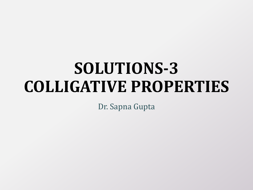# **SOLUTIONS-3 COLLIGATIVE PROPERTIES**

Dr. Sapna Gupta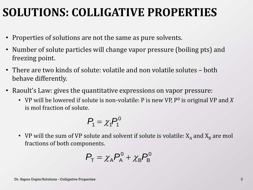### **SOLUTIONS: COLLIGATIVE PROPERTIES**

- Properties of solutions are not the same as pure solvents.
- Number of solute particles will change vapor pressure (boiling pts) and freezing point.
- There are two kinds of solute: volatile and non volatile solutes both behave differently.
- Raoult's Law: gives the quantitative expressions on vapor pressure:
	- VP will be lowered if solute is non-volatile: P is new VP, P<sup>0</sup> is original VP and X is mol fraction of solute.

$$
P_1=\chi_1P_1^0
$$

• VP will the sum of VP solute and solvent if solute is volatile:  $X_A$  and  $X_B$  are mol fractions of both components.

$$
P_{\text{T}} = \chi_{\text{A}} P_{\text{A}}^0 + \chi_{\text{B}} P_{\text{B}}^0
$$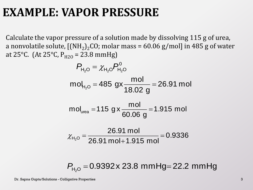#### **EXAMPLE: VAPOR PRESSURE**

Calculate the vapor pressure of a solution made by dissolving 115 g of urea, a nonvolatile solute, [(NH<sub>2</sub>)<sub>2</sub>CO; molar mass = 60.06 g/mol] in 485 g of water at 25°C. (At 25°C,  $P_{H2O}$  = 23.8 mmHg)

$$
P_{H_2O} = \chi_{H_2O} P_{H_2O}^0
$$
  
mol<sub>H\_2O</sub> = 485 gx  $\frac{mol}{18.02 g}$  = 26.91 mol  
mol<sub>ura</sub> = 115 g x  $\frac{mol}{60.06 g}$  = 1.915 mol  

$$
\chi_{H_2O} = \frac{26.91 mol}{26.91 mol + 1.915 mol} = 0.9336
$$

 $P_{H_2O} = 0.9392 \times 23.8 \text{ mmHg} = 22.2 \text{ mmHg}$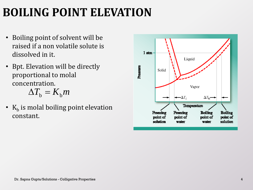# **BOILING POINT ELEVATION**

- Boiling point of solvent will be raised if a non volatile solute is dissolved in it.
- Bpt. Elevation will be directly proportional to molal concentration.

$$
\Delta T_{\rm b} = K_{\rm b} m
$$

•  $K_b$  is molal boiling point elevation constant.

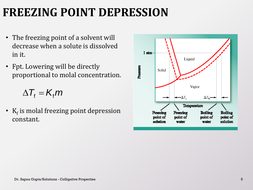## **FREEZING POINT DEPRESSION**

- The freezing point of a solvent will decrease when a solute is dissolved in it.
- Fpt. Lowering will be directly proportional to molal concentration.

 $\Delta T_{\rm f} = K_{\rm f} m$ 

•  $K_f$  is molal freezing point depression constant.

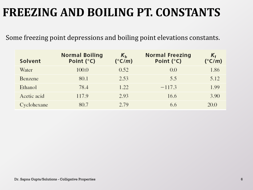### **FREEZING AND BOILING PT. CONSTANTS**

Some freezing point depressions and boiling point elevations constants.

| Solvent     | <b>Normal Boiling</b><br>Point $(^{\circ}C)$ | $K_{\rm b}$<br>$(^{\circ}C/m)$ | <b>Normal Freezing</b><br>Point $(^{\circ}C)$ | K <sub>f</sub><br>$(^{\circ}C/m)$ |
|-------------|----------------------------------------------|--------------------------------|-----------------------------------------------|-----------------------------------|
| Water       | 100.0                                        | 0.52                           | 0.0                                           | 1.86                              |
| Benzene     | 80.1                                         | 2.53                           | 5.5                                           | 5.12                              |
| Ethanol     | 78.4                                         | 1.22                           | $-117.3$                                      | 1.99                              |
| Acetic acid | 117.9                                        | 2.93                           | 16.6                                          | 3.90                              |
| Cyclohexane | 80.7                                         | 2.79                           | 6.6                                           | 20.0                              |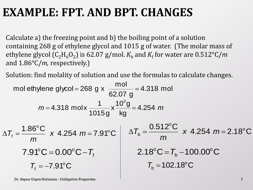#### **EXAMPLE: FPT. AND BPT. CHANGES**

Calculate a) the freezing point and b) the boiling point of a solution containing 268 g of ethylene glycol and 1015 g of water. (The molar mass of ethylene glycol (C<sub>2</sub>H<sub>6</sub>O<sub>2</sub>) is 62.07 g/mol.  $K_{\rm b}$  and  $K_{\rm f}$  for water are 0.512°C/*m* and 1.86°C/*m,* respectively.)

Solution: find molality of solution and use the formulas to calculate changes.

mol ethylene glycol = 268 g x 
$$
\frac{mol}{62.07 g}
$$
 = 4.318 mol  
\n $m = 4.318 \text{ mol} \times \frac{1}{1015 g} \times \frac{10^3 g}{kg} = 4.254 m$   
\n $\Delta T_f = \frac{1.86^{\circ}C}{m} \times 4.254 m = 7.91^{\circ}C$   
\n $T.91^{\circ}C = 0.00^{\circ}C - T_f$   
\n $T_f = -7.91^{\circ}C$   
\n $T_b = 102.18^{\circ}C$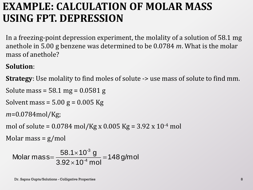#### **EXAMPLE: CALCULATION OF MOLAR MASS USING FPT. DEPRESSION**

In a freezing-point depression experiment, the molality of a solution of 58.1 mg anethole in 5.00 g benzene was determined to be 0.0784 *m*. What is the molar mass of anethole?

#### **Solution**:

**Strategy**: Use molality to find moles of solute -> use mass of solute to find mm.

```
Solute mass = 58.1 mg = 0.0581 g
```

```
Solvent mass = 5.00 g = 0.005 Kg
```

```
m=0.0784mol/Kg;
```

```
mol of solute = 0.0784 mol/Kg x 0.005 Kg = 3.92 x 10^{-4} mol
```

```
Molar mass = g/mol
```

```
148 g/mol
                            3.92\!\times\!10^{\text{-}4} mol
                               58.1\times10^{3} g
Molar mass=\frac{30.1 \times 10^{4}}{2.02 \times 10^{-4}}-3
                                                           =\times\times=
```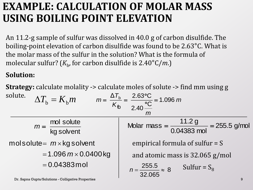#### **EXAMPLE: CALCULATION OF MOLAR MASS USING BOILING POINT ELEVATION**

An 11.2-g sample of sulfur was dissolved in 40.0 g of carbon disulfide. The boiling-point elevation of carbon disulfide was found to be 2.63°C. What is the molar mass of the sulfur in the solution? What is the formula of molecular sulfur? (*K*<sub>b</sub>, for carbon disulfide is 2.40°C/*m*.)

#### **Solution:**

**Strategy:** calculate molality -> calculate moles of solute -> find mm using g solute. *T* Δ  $2.63$ °C b

| soiute.<br>$\Delta T_{\rm b} = K_{\rm b} m$         | $m = {\Delta T_b \over K_b} = {2.63^{\circ}C \over 2.40^{\circ}C} = 1.096 \ m$<br>$\mathsf{m}$ |  |  |
|-----------------------------------------------------|------------------------------------------------------------------------------------------------|--|--|
| $m = \frac{mol \text{ solute}}{kg \text{ solvent}}$ | Molar mass = $\frac{11.2 \text{ g}}{0.04383 \text{ mol}}$ = 255.5 g/mol                        |  |  |
| molsolute= $m \times$ kg solvent                    | empirical formula of sulfur $= S$                                                              |  |  |
| $= 1.096$ $m \times 0.0400$ kg                      | and atomic mass is 32.065 g/mol                                                                |  |  |
| $= 0.04383$ mol                                     | $n=\frac{255.5}{32.065}\approx 8$<br>Sulfur = $S_8$                                            |  |  |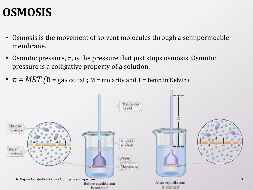#### **OSMOSIS**

- Osmosis is the movement of solvent molecules through a semipermeable membrane.
- Osmotic pressure,  $\pi$ , is the pressure that just stops osmosis. Osmotic pressure is a colligative property of a solution.
- $\pi = MRT$  (R = gas const.; M = molarity and T = temp in Kelvin)

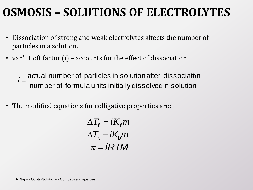### **OSMOSIS – SOLUTIONS OF ELECTROLYTES**

- Dissociation of strong and weak electrolytes affects the number of particles in a solution.
- van't Hoft factor (i) accounts for the effect of dissociation

actual number of particles in solution after dissociat<mark>o</mark><br>number of formula units initially dissolvedin solution an't Hoft factor (i) – accounts for the effect of dissociation<br>*i* =  $\frac{\text{actual number of particles in solution after dissociation}}{1 - \frac{1}{2}}$ 

• The modified equations for colligative properties are:

$$
\Delta T_{\rm f} = iK_{\rm f}m
$$
  
\n
$$
\Delta T_{\rm b} = iK_{\rm b}m
$$
  
\n
$$
\pi = iRTM
$$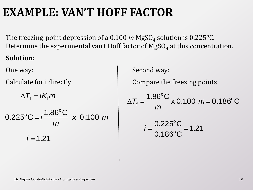## **EXAMPLE: VAN'T HOFF FACTOR**

The freezing-point depression of a 0.100  $m$  MgSO<sub>4</sub> solution is 0.225°C. Determine the experimental van't Hoff factor of  $\mathrm{MgSO}_4$  at this concentration.

#### **Solution:**

 $=$  i $\mathcal{K}_{\mathsf{f}}$   $m$ 

 $\Delta T_{\rm f} = iK_{\rm f}m$ <br>  $25^{\circ}$  C =  $i\frac{1.86^{\circ}$ C x 0.100 *m*<br>  $i = 1.21$ <br>  $D_{\rm D.~Sapna~Gupta/Solutions - Colligative Properties}$ <br>  $D_{\rm D.~Sapna~Gupta/Solutions - Colligative Properties}$ *x m m*  $0.225^{\circ}$ C =  $i\frac{1.86^{\circ}$ C x 0.100 o  $\mathrm{^{\circ}C} =$  $i = i\frac{1.86^{\circ}C}{m}$  x 0.100 m<br> $i = 1.21$ <br> $i = 1.21$ <br> $i = 0.186^{\circ}C$ <br> $i = 1.21$ 

One way: Second way:

Calculate for i directly **Compare the freezing points** 

$$
\Delta T_{\rm f} = \frac{1.86^{\circ}\rm C}{m} \times 0.100~m = 0.186^{\circ}\rm C
$$

$$
i = \frac{0.225^{\circ}C}{0.186^{\circ}C} = 1.21
$$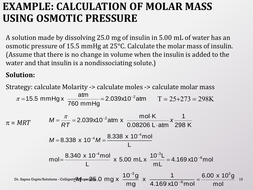#### **EXAMPLE: CALCULATION OF MOLAR MASS USING OSMOTIC PRESSURE**

A solution made by dissolving 25.0 mg of insulin in 5.00 mL of water has an osmotic pressure of 15.5 mmHg at 25°C. Calculate the molar mass of insulin. (Assume that there is no change in volume when the insulin is added to the water and that insulin is a nondissociating solute.)

#### **Solution:**

Strategy: calculate Molarity -> calculate moles -> calculate molar mass  $2.039x10^{-2}$ atm  $T = 25+273 = 298K$  $\pi = MRT$ Dr. Sapna Gupta/Solutions - Colligative Properties 13 and  $X \longrightarrow X$  and  $X \longrightarrow Z$  and  $X \longrightarrow Z$  is a set of  $X$ 298 K 1 0.08206 L · atm mol·K  $2.039x10^{-2}$ atm x  $\frac{111014x}{2.000000}$  x *RT M* . .  $=\frac{\pi}{25}$  = 2.039x10<sup>-1</sup> 760 mmHg 15.5 mmHg  $x = \frac{atm}{\sqrt{1 - \frac{3}{2}}}$  $\pi$  = 15.5 mmHg x  $\frac{a_{01}}{200}$  = 2.039x10<sup>-2</sup> L  $8.338 \times 10^{-4} M = \frac{8.338 \times 10^{-4} \text{mol}}{4.5}$ 4  $\overline{a}$  $M = 8.338 \times 10^{-4} M =$ 4.169 x10 $^{\rm -6}$ mol  $\frac{0^{-3}}{m}$  $10^{-3}$ L  $2^{10^{-4}}M =$ <br> $\frac{L}{L}$ <br> $\frac{10^{-4} \text{mol}}{L}$  x 5.00 mLx mol= $\frac{8.340 \times 10^{-4}$ mol x 5.00 mL x  $\frac{10^{-3}L}{4}$  = 4.169 x10<sup>-6</sup>  $\overline{a}$  $^{-4}$ mol  $10^{-}$  $=\frac{0.546 \times 10^{1101}}{1} \times 5.00 \text{ mL} \times \frac{10^{11} \text{ L}}{1} =$ 4.169 x10 $^{\rm -6}$ mol 1 x  $\frac{10^{-3}g}{mg}$ 25.0 mg x  $\frac{10^{-3}g}{ma}$  x  $\frac{1}{4.169 \times 10^{-6}}$ 3  $\overline{a}$  $\overline{a}$ *M* mol 6.00 x  $10^{3}$ g  $=$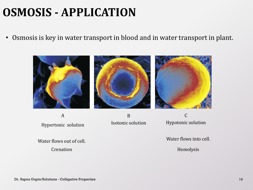## **OSMOSIS - APPLICATION**

• Osmosis is key in water transport in blood and in water transport in plant.



A Hypertonic solution

B Isotonic solution

C Hypotonic solution

Water flows out of cell. Water flows into cell.

Crenation **Hemolysis**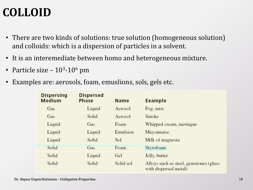# **COLLOID**

- There are two kinds of solutions: true solution (homogeneous solution) and colloids: which is a dispersion of particles in a solvent.
- It is an interemediate between homo and heterogeneous mixture.
- Particle size  $10^3$ - $10^6$  pm
- Examples are: aerosols, foam, emuslions, sols, gels etc.

| <b>Dispersing</b><br>Medium | <b>Dispersed</b><br><b>Phase</b> | <b>Name</b> | <b>Example</b>                                                   |
|-----------------------------|----------------------------------|-------------|------------------------------------------------------------------|
| Gas                         | Liquid                           | Aerosol     | Fog, mist                                                        |
| Gas                         | Solid                            | Aerosol     | Smoke                                                            |
| Liquid                      | Gas                              | Foam        | Whipped cream, meringue                                          |
| Liquid                      | Liquid                           | Emulsion    | Mayonnaise                                                       |
| Liquid                      | Solid                            | Sol         | Milk of magnesia                                                 |
| Solid                       | Gas                              | Foam        | Styrofoam                                                        |
| Solid                       | Liquid                           | Gel         | Jelly, butter                                                    |
| Solid                       | Solid                            | Solid sol   | Alloys such as steel, gemstones (glass)<br>with dispersed metal) |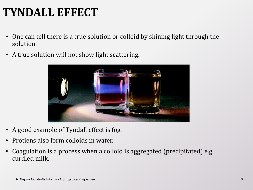## **TYNDALL EFFECT**

- One can tell there is a true solution or colloid by shining light through the solution.
- A true solution will not show light scattering.



- A good example of Tyndall effect is fog.
- Protiens also form colloids in water.
- Coagulation is a process when a colloid is aggregated (precipitated) e.g. curdled milk.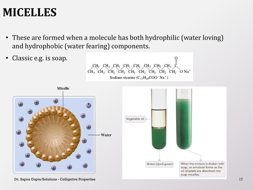#### **MICELLES**

- These are formed when a molecule has both hydrophilic (water loving) and hydrophobic (water fearing) components.
- Classic e.g. is soap. н, сн, сн, сн<u>,</u>  $CH_3CH_2CH_2CH_2CH_2CH_2CH_2CH_2CH_2CH_2CH_2CH_2$  $O<sup>–</sup>Na<sup>+</sup>$ Sodium stearate  $(C_{17}H_{35}COO^-Na^+)$ **Micelle** Vegetable oil - Water When the mixture is shaken with Water (dyed green) soap, an emulsion forms as the oil droplets are absorbed into soap micelles.

Dr. Sapna Gupta/Solutions - Colligative Properties 17